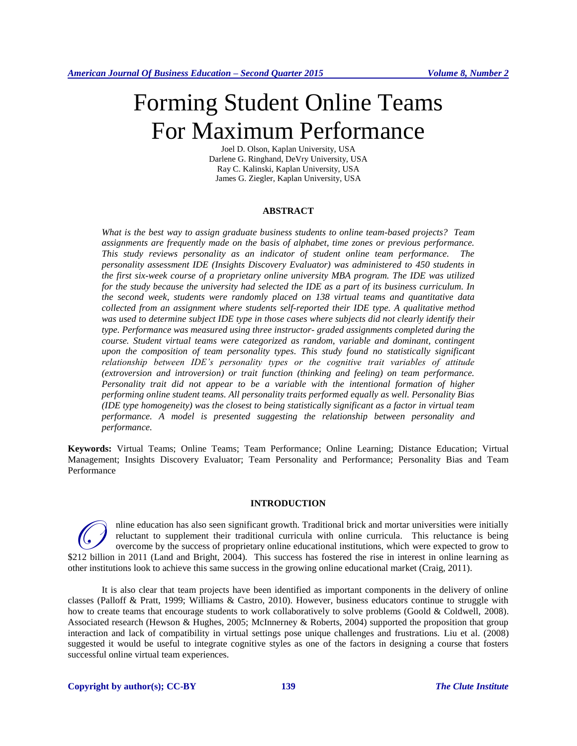# Forming Student Online Teams For Maximum Performance

Joel D. Olson, Kaplan University, USA Darlene G. Ringhand, DeVry University, USA Ray C. Kalinski, Kaplan University, USA James G. Ziegler, Kaplan University, USA

#### **ABSTRACT**

*What is the best way to assign graduate business students to online team-based projects? Team assignments are frequently made on the basis of alphabet, time zones or previous performance. This study reviews personality as an indicator of student online team performance. The personality assessment IDE (Insights Discovery Evaluator) was administered to 450 students in the first six-week course of a proprietary online university MBA program. The IDE was utilized for the study because the university had selected the IDE as a part of its business curriculum. In the second week, students were randomly placed on 138 virtual teams and quantitative data collected from an assignment where students self-reported their IDE type. A qualitative method was used to determine subject IDE type in those cases where subjects did not clearly identify their type. Performance was measured using three instructor- graded assignments completed during the course. Student virtual teams were categorized as random, variable and dominant, contingent upon the composition of team personality types. This study found no statistically significant relationship between IDE's personality types or the cognitive trait variables of attitude (extroversion and introversion) or trait function (thinking and feeling) on team performance. Personality trait did not appear to be a variable with the intentional formation of higher performing online student teams. All personality traits performed equally as well. Personality Bias (IDE type homogeneity) was the closest to being statistically significant as a factor in virtual team performance. A model is presented suggesting the relationship between personality and performance.* 

**Keywords:** Virtual Teams; Online Teams; Team Performance; Online Learning; Distance Education; Virtual Management; Insights Discovery Evaluator; Team Personality and Performance; Personality Bias and Team Performance

## **INTRODUCTION**

nline education has also seen significant growth. Traditional brick and mortar universities were initially reluctant to supplement their traditional curricula with online curricula. This reluctance is being overcome by the success of proprietary online educational institutions, which were expected to grow to Thine education has also seen significant growth. Traditional brick and mortar universities were initially reluctant to supplement their traditional curricula with online curricula. This reluctance is being overcome by the other institutions look to achieve this same success in the growing online educational market (Craig, 2011).

It is also clear that team projects have been identified as important components in the delivery of online classes (Palloff & Pratt, 1999; Williams & Castro, 2010). However, business educators continue to struggle with how to create teams that encourage students to work collaboratively to solve problems (Goold & Coldwell, 2008). Associated research (Hewson & Hughes, 2005; McInnerney & Roberts, 2004) supported the proposition that group interaction and lack of compatibility in virtual settings pose unique challenges and frustrations. Liu et al. (2008) suggested it would be useful to integrate cognitive styles as one of the factors in designing a course that fosters successful online virtual team experiences.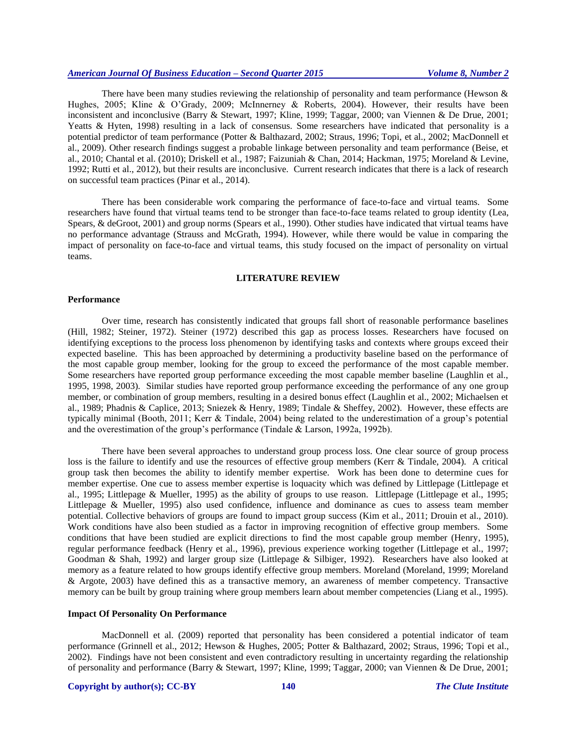There have been many studies reviewing the relationship of personality and team performance (Hewson  $\&$ Hughes, 2005; Kline & O'Grady, 2009; McInnerney & Roberts, 2004). However, their results have been inconsistent and inconclusive (Barry & Stewart, 1997; Kline, 1999; Taggar, 2000; van Viennen & De Drue, 2001; Yeatts & Hyten, 1998) resulting in a lack of consensus. Some researchers have indicated that personality is a potential predictor of team performance (Potter & Balthazard, 2002; Straus, 1996; Topi, et al., 2002; MacDonnell et al., 2009). Other research findings suggest a probable linkage between personality and team performance (Beise, et al., 2010; Chantal et al. (2010); Driskell et al., 1987; Faizuniah & Chan, 2014; Hackman, 1975; Moreland & Levine, 1992; Rutti et al., 2012), but their results are inconclusive. Current research indicates that there is a lack of research on successful team practices (Pinar et al., 2014).

There has been considerable work comparing the performance of face-to-face and virtual teams. Some researchers have found that virtual teams tend to be stronger than face-to-face teams related to group identity (Lea, Spears, & deGroot, 2001) and group norms (Spears et al., 1990). Other studies have indicated that virtual teams have no performance advantage (Strauss and McGrath, 1994). However, while there would be value in comparing the impact of personality on face-to-face and virtual teams, this study focused on the impact of personality on virtual teams.

#### **LITERATURE REVIEW**

## **Performance**

Over time, research has consistently indicated that groups fall short of reasonable performance baselines (Hill, 1982; Steiner, 1972). Steiner (1972) described this gap as process losses. Researchers have focused on identifying exceptions to the process loss phenomenon by identifying tasks and contexts where groups exceed their expected baseline. This has been approached by determining a productivity baseline based on the performance of the most capable group member, looking for the group to exceed the performance of the most capable member. Some researchers have reported group performance exceeding the most capable member baseline (Laughlin et al., 1995, 1998, 2003). Similar studies have reported group performance exceeding the performance of any one group member, or combination of group members, resulting in a desired bonus effect (Laughlin et al., 2002; Michaelsen et al., 1989; Phadnis & Caplice, 2013; Sniezek & Henry, 1989; Tindale & Sheffey, 2002). However, these effects are typically minimal (Booth, 2011; Kerr & Tindale, 2004) being related to the underestimation of a group's potential and the overestimation of the group's performance (Tindale & Larson, 1992a, 1992b).

There have been several approaches to understand group process loss. One clear source of group process loss is the failure to identify and use the resources of effective group members (Kerr & Tindale, 2004). A critical group task then becomes the ability to identify member expertise. Work has been done to determine cues for member expertise. One cue to assess member expertise is loquacity which was defined by Littlepage (Littlepage et al., 1995; Littlepage & Mueller, 1995) as the ability of groups to use reason. Littlepage (Littlepage et al., 1995; Littlepage & Mueller, 1995) also used confidence, influence and dominance as cues to assess team member potential. Collective behaviors of groups are found to impact group success (Kim et al., 2011; Drouin et al., 2010). Work conditions have also been studied as a factor in improving recognition of effective group members. Some conditions that have been studied are explicit directions to find the most capable group member (Henry, 1995), regular performance feedback (Henry et al., 1996), previous experience working together (Littlepage et al., 1997; Goodman & Shah, 1992) and larger group size (Littlepage & Silbiger, 1992). Researchers have also looked at memory as a feature related to how groups identify effective group members. Moreland (Moreland, 1999; Moreland & Argote, 2003) have defined this as a transactive memory, an awareness of member competency. Transactive memory can be built by group training where group members learn about member competencies (Liang et al., 1995).

#### **Impact Of Personality On Performance**

MacDonnell et al. (2009) reported that personality has been considered a potential indicator of team performance (Grinnell et al., 2012; Hewson & Hughes, 2005; Potter & Balthazard, 2002; Straus, 1996; Topi et al., 2002). Findings have not been consistent and even contradictory resulting in uncertainty regarding the relationship of personality and performance (Barry & Stewart, 1997; Kline, 1999; Taggar, 2000; van Viennen & De Drue, 2001;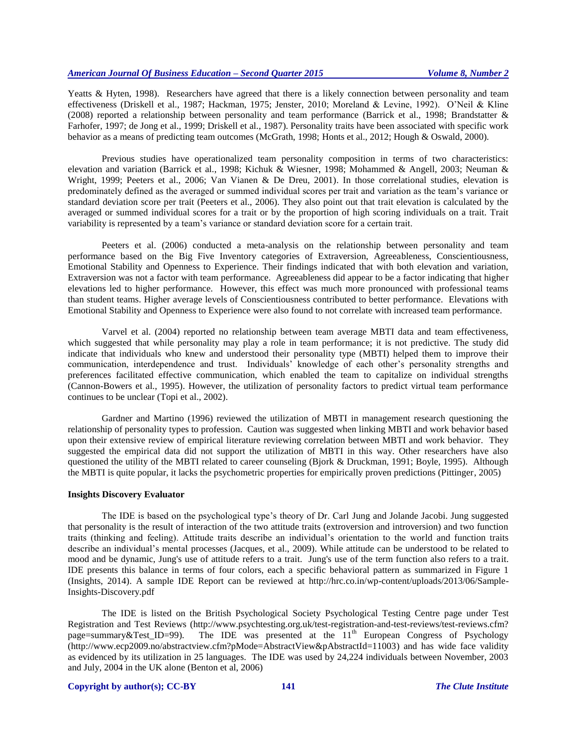Yeatts & Hyten, 1998). Researchers have agreed that there is a likely connection between personality and team effectiveness (Driskell et al., 1987; Hackman, 1975; Jenster, 2010; Moreland & Levine, 1992). O'Neil & Kline (2008) reported a relationship between personality and team performance (Barrick et al., 1998; Brandstatter & Farhofer, 1997; de Jong et al., 1999; Driskell et al., 1987). Personality traits have been associated with specific work behavior as a means of predicting team outcomes (McGrath, 1998; Honts et al., 2012; Hough & Oswald, 2000).

Previous studies have operationalized team personality composition in terms of two characteristics: elevation and variation (Barrick et al., 1998; Kichuk & Wiesner, 1998; Mohammed & Angell, 2003; Neuman & Wright, 1999; Peeters et al., 2006; Van Vianen & De Dreu, 2001). In those correlational studies, elevation is predominately defined as the averaged or summed individual scores per trait and variation as the team's variance or standard deviation score per trait (Peeters et al., 2006). They also point out that trait elevation is calculated by the averaged or summed individual scores for a trait or by the proportion of high scoring individuals on a trait. Trait variability is represented by a team's variance or standard deviation score for a certain trait.

Peeters et al. (2006) conducted a meta-analysis on the relationship between personality and team performance based on the Big Five Inventory categories of Extraversion, Agreeableness, Conscientiousness, Emotional Stability and Openness to Experience. Their findings indicated that with both elevation and variation, Extraversion was not a factor with team performance. Agreeableness did appear to be a factor indicating that higher elevations led to higher performance. However, this effect was much more pronounced with professional teams than student teams. Higher average levels of Conscientiousness contributed to better performance. Elevations with Emotional Stability and Openness to Experience were also found to not correlate with increased team performance.

Varvel et al. (2004) reported no relationship between team average MBTI data and team effectiveness, which suggested that while personality may play a role in team performance; it is not predictive. The study did indicate that individuals who knew and understood their personality type (MBTI) helped them to improve their communication, interdependence and trust. Individuals' knowledge of each other's personality strengths and preferences facilitated effective communication, which enabled the team to capitalize on individual strengths (Cannon-Bowers et al., 1995). However, the utilization of personality factors to predict virtual team performance continues to be unclear (Topi et al., 2002).

Gardner and Martino (1996) reviewed the utilization of MBTI in management research questioning the relationship of personality types to profession. Caution was suggested when linking MBTI and work behavior based upon their extensive review of empirical literature reviewing correlation between MBTI and work behavior. They suggested the empirical data did not support the utilization of MBTI in this way. Other researchers have also questioned the utility of the MBTI related to career counseling (Bjork & Druckman, 1991; Boyle, 1995). Although the MBTI is quite popular, it lacks the psychometric properties for empirically proven predictions (Pittinger, 2005)

#### **Insights Discovery Evaluator**

The IDE is based on the psychological type's theory of Dr. Carl Jung and Jolande Jacobi. Jung suggested that personality is the result of interaction of the two attitude traits (extroversion and introversion) and two function traits (thinking and feeling). Attitude traits describe an individual's orientation to the world and function traits describe an individual's mental processes (Jacques, et al., 2009). While attitude can be understood to be related to mood and be dynamic, Jung's use of attitude refers to a trait. Jung's use of the term function also refers to a trait. IDE presents this balance in terms of four colors, each a specific behavioral pattern as summarized in Figure 1 (Insights, 2014). A sample IDE Report can be reviewed at [http://hrc.co.in/wp-content/uploads/2013/06/Sample-](http://hrc.co.in/wp-content/uploads/2013/06/Sample-Insights-Discovery.pdf)[Insights-Discovery.pdf](http://hrc.co.in/wp-content/uploads/2013/06/Sample-Insights-Discovery.pdf)

The IDE is listed on the British Psychological Society Psychological Testing Centre page under Test Registration and Test Reviews [\(http://www.psychtesting.org.uk/test-registration-and-test-reviews/test-reviews.cfm?](http://www.psychtesting.org.uk/test-registration-and-test-reviews/test-reviews.cfm?%20page=summary&Test_ID=99) page=summary&Test ID=99). The IDE was presented at the  $11<sup>th</sup>$  European Congress of Psychology [\(http://www.ecp2009.no/abstractview.cfm?pMode=AbstractView&pAbstractId=11003\)](http://www.ecp2009.no/abstractview.cfm?pMode=AbstractView&pAbstractId=11003) and has wide face validity as evidenced by its utilization in 25 languages. The IDE was used by 24,224 individuals between November, 2003 and July, 2004 in the UK alone (Benton et al, 2006)

#### **Copyright by author(s); CC-BY 141** *The Clute Institute*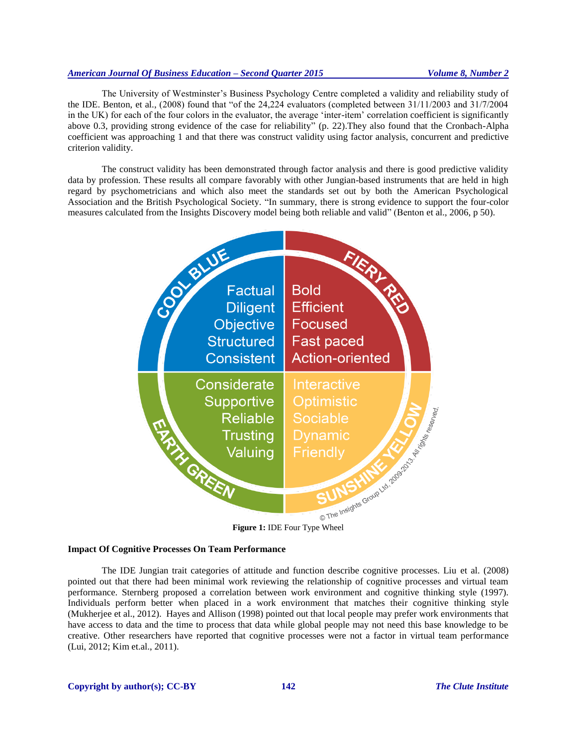The University of Westminster's Business Psychology Centre completed a validity and reliability study of the IDE. Benton, et al., (2008) found that "of the 24,224 evaluators (completed between 31/11/2003 and 31/7/2004 in the UK) for each of the four colors in the evaluator, the average 'inter-item' correlation coefficient is significantly above 0.3, providing strong evidence of the case for reliability" (p. 22).They also found that the Cronbach-Alpha coefficient was approaching 1 and that there was construct validity using factor analysis, concurrent and predictive criterion validity.

The construct validity has been demonstrated through factor analysis and there is good predictive validity data by profession. These results all compare favorably with other Jungian-based instruments that are held in high regard by psychometricians and which also meet the standards set out by both the American Psychological Association and the British Psychological Society. "In summary, there is strong evidence to support the four-color measures calculated from the Insights Discovery model being both reliable and valid" (Benton et al., 2006, p 50).



## **Impact Of Cognitive Processes On Team Performance**

The IDE Jungian trait categories of attitude and function describe cognitive processes. Liu et al. (2008) pointed out that there had been minimal work reviewing the relationship of cognitive processes and virtual team performance. Sternberg proposed a correlation between work environment and cognitive thinking style (1997). Individuals perform better when placed in a work environment that matches their cognitive thinking style (Mukherjee et al., 2012). Hayes and Allison (1998) pointed out that local people may prefer work environments that have access to data and the time to process that data while global people may not need this base knowledge to be creative. Other researchers have reported that cognitive processes were not a factor in virtual team performance (Lui, 2012; Kim et.al., 2011).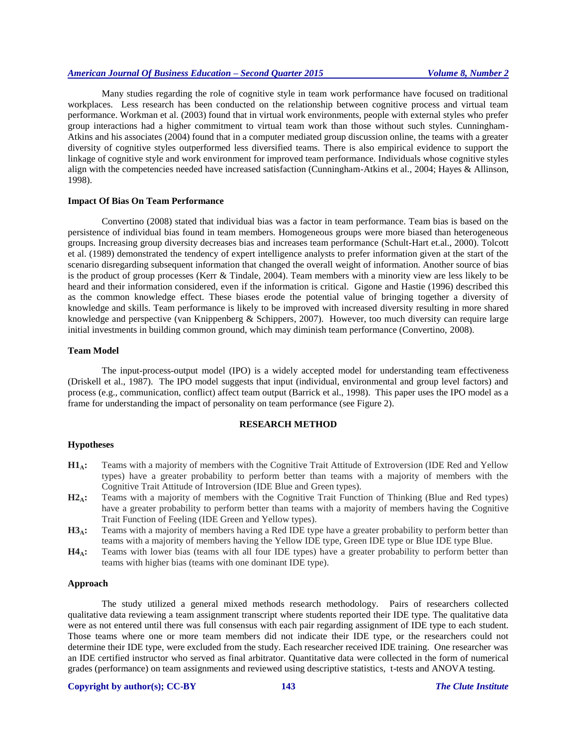Many studies regarding the role of cognitive style in team work performance have focused on traditional workplaces. Less research has been conducted on the relationship between cognitive process and virtual team performance. Workman et al. (2003) found that in virtual work environments, people with external styles who prefer group interactions had a higher commitment to virtual team work than those without such styles. Cunningham-Atkins and his associates (2004) found that in a computer mediated group discussion online, the teams with a greater diversity of cognitive styles outperformed less diversified teams. There is also empirical evidence to support the linkage of cognitive style and work environment for improved team performance. Individuals whose cognitive styles align with the competencies needed have increased satisfaction (Cunningham-Atkins et al., 2004; Hayes & Allinson, 1998).

## **Impact Of Bias On Team Performance**

Convertino (2008) stated that individual bias was a factor in team performance. Team bias is based on the persistence of individual bias found in team members. Homogeneous groups were more biased than heterogeneous groups. Increasing group diversity decreases bias and increases team performance (Schult-Hart et.al., 2000). Tolcott et al. (1989) demonstrated the tendency of expert intelligence analysts to prefer information given at the start of the scenario disregarding subsequent information that changed the overall weight of information. Another source of bias is the product of group processes (Kerr & Tindale, 2004). Team members with a minority view are less likely to be heard and their information considered, even if the information is critical. Gigone and Hastie (1996) described this as the common knowledge effect. These biases erode the potential value of bringing together a diversity of knowledge and skills. Team performance is likely to be improved with increased diversity resulting in more shared knowledge and perspective (van Knippenberg & Schippers, 2007). However, too much diversity can require large initial investments in building common ground, which may diminish team performance (Convertino, 2008).

#### **Team Model**

The input-process-output model (IPO) is a widely accepted model for understanding team effectiveness (Driskell et al., 1987). The IPO model suggests that input (individual, environmental and group level factors) and process (e.g., communication, conflict) affect team output (Barrick et al., 1998). This paper uses the IPO model as a frame for understanding the impact of personality on team performance (see Figure 2).

#### **RESEARCH METHOD**

#### **Hypotheses**

- **H1A:** Teams with a majority of members with the Cognitive Trait Attitude of Extroversion (IDE Red and Yellow types) have a greater probability to perform better than teams with a majority of members with the Cognitive Trait Attitude of Introversion (IDE Blue and Green types).
- **H2A:** Teams with a majority of members with the Cognitive Trait Function of Thinking (Blue and Red types) have a greater probability to perform better than teams with a majority of members having the Cognitive Trait Function of Feeling (IDE Green and Yellow types).
- **H3A:** Teams with a majority of members having a Red IDE type have a greater probability to perform better than teams with a majority of members having the Yellow IDE type, Green IDE type or Blue IDE type Blue.
- **H4A:** Teams with lower bias (teams with all four IDE types) have a greater probability to perform better than teams with higher bias (teams with one dominant IDE type).

## **Approach**

The study utilized a general mixed methods research methodology. Pairs of researchers collected qualitative data reviewing a team assignment transcript where students reported their IDE type. The qualitative data were as not entered until there was full consensus with each pair regarding assignment of IDE type to each student. Those teams where one or more team members did not indicate their IDE type, or the researchers could not determine their IDE type, were excluded from the study. Each researcher received IDE training. One researcher was an IDE certified instructor who served as final arbitrator. Quantitative data were collected in the form of numerical grades (performance) on team assignments and reviewed using descriptive statistics, t-tests and ANOVA testing.

## **Copyright by author(s); CC-BY 143** *The Clute Institute*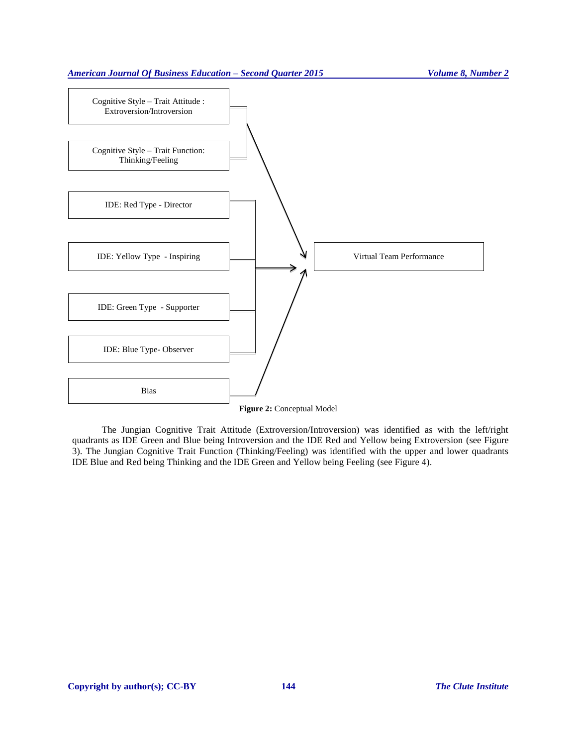

The Jungian Cognitive Trait Attitude (Extroversion/Introversion) was identified as with the left/right quadrants as IDE Green and Blue being Introversion and the IDE Red and Yellow being Extroversion (see Figure 3). The Jungian Cognitive Trait Function (Thinking/Feeling) was identified with the upper and lower quadrants IDE Blue and Red being Thinking and the IDE Green and Yellow being Feeling (see Figure 4).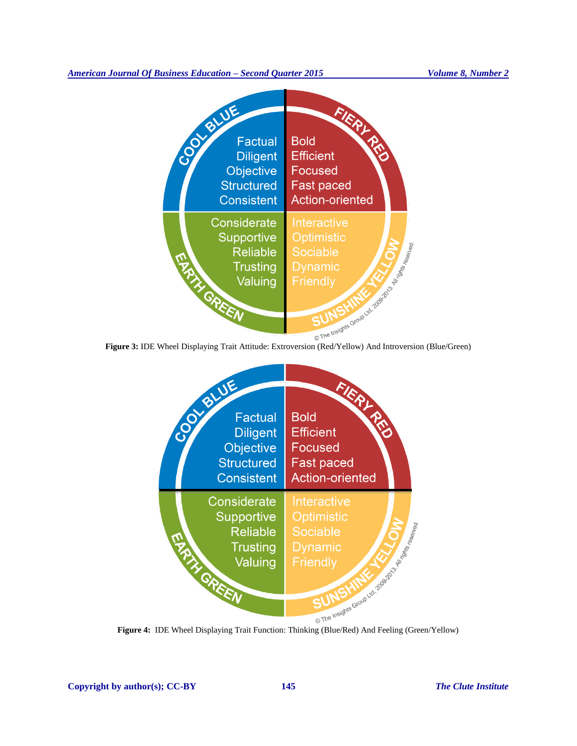



**Copyright by author(s); CC-BY 145** *The Clute Institute*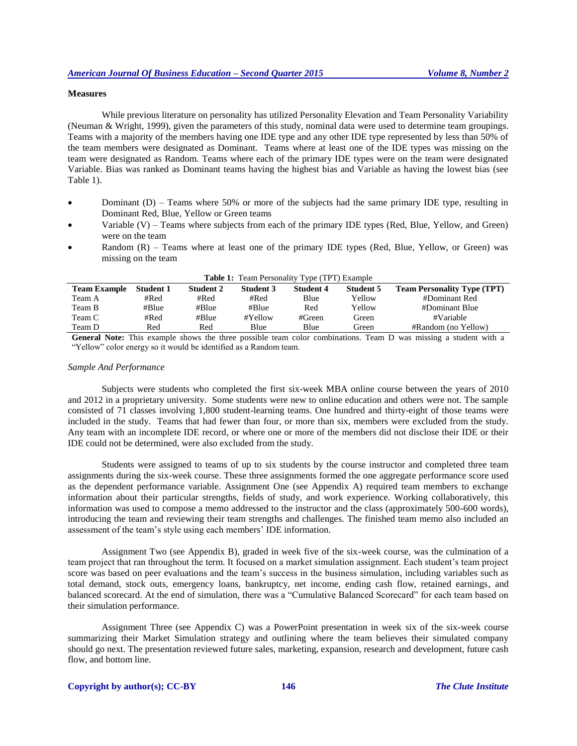#### **Measures**

While previous literature on personality has utilized Personality Elevation and Team Personality Variability (Neuman & Wright, 1999), given the parameters of this study, nominal data were used to determine team groupings. Teams with a majority of the members having one IDE type and any other IDE type represented by less than 50% of the team members were designated as Dominant. Teams where at least one of the IDE types was missing on the team were designated as Random. Teams where each of the primary IDE types were on the team were designated Variable. Bias was ranked as Dominant teams having the highest bias and Variable as having the lowest bias (see Table 1).

- Dominant (D) Teams where 50% or more of the subjects had the same primary IDE type, resulting in Dominant Red, Blue, Yellow or Green teams
- Variable (V) Teams where subjects from each of the primary IDE types (Red, Blue, Yellow, and Green) were on the team
- Random (R) Teams where at least one of the primary IDE types (Red, Blue, Yellow, or Green) was missing on the team

| <b>Table 1:</b> Team Personality Type (TPT) Example |                  |                  |                  |                  |                  |                                    |
|-----------------------------------------------------|------------------|------------------|------------------|------------------|------------------|------------------------------------|
| <b>Team Example</b>                                 | <b>Student 1</b> | <b>Student 2</b> | <b>Student 3</b> | <b>Student 4</b> | <b>Student 5</b> | <b>Team Personality Type (TPT)</b> |
| Team A                                              | #Red             | #Red             | #Red             | Blue             | Yellow           | #Dominant Red                      |
| Team B                                              | #Blue            | #Blue            | #Blue            | Red              | Yellow           | #Dominant Blue                     |
| Team C                                              | #Red             | #Blue            | #Yellow          | #Green           | Green            | #Variable                          |
| Team D                                              | Red              | Red              | Blue             | Blue             | Green            | #Random (no Yellow)                |

**General Note:** This example shows the three possible team color combinations. Team D was missing a student with a "Yellow" color energy so it would be identified as a Random team.

#### *Sample And Performance*

Subjects were students who completed the first six-week MBA online course between the years of 2010 and 2012 in a proprietary university. Some students were new to online education and others were not. The sample consisted of 71 classes involving 1,800 student-learning teams. One hundred and thirty-eight of those teams were included in the study. Teams that had fewer than four, or more than six, members were excluded from the study. Any team with an incomplete IDE record, or where one or more of the members did not disclose their IDE or their IDE could not be determined, were also excluded from the study.

Students were assigned to teams of up to six students by the course instructor and completed three team assignments during the six-week course. These three assignments formed the one aggregate performance score used as the dependent performance variable. Assignment One (see Appendix A) required team members to exchange information about their particular strengths, fields of study, and work experience. Working collaboratively, this information was used to compose a memo addressed to the instructor and the class (approximately 500-600 words), introducing the team and reviewing their team strengths and challenges. The finished team memo also included an assessment of the team's style using each members' IDE information.

Assignment Two (see Appendix B), graded in week five of the six-week course, was the culmination of a team project that ran throughout the term. It focused on a market simulation assignment. Each student's team project score was based on peer evaluations and the team's success in the business simulation, including variables such as total demand, stock outs, emergency loans, bankruptcy, net income, ending cash flow, retained earnings, and balanced scorecard. At the end of simulation, there was a "Cumulative Balanced Scorecard" for each team based on their simulation performance.

Assignment Three (see Appendix C) was a PowerPoint presentation in week six of the six-week course summarizing their Market Simulation strategy and outlining where the team believes their simulated company should go next. The presentation reviewed future sales, marketing, expansion, research and development, future cash flow, and bottom line.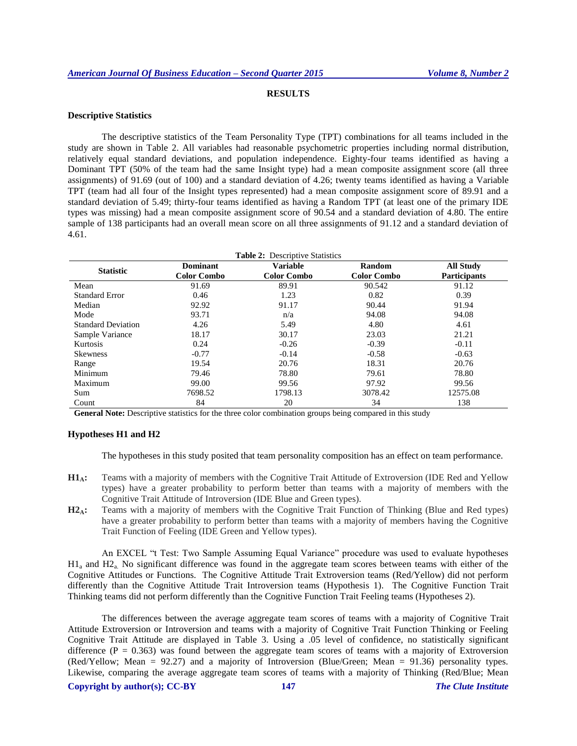## **RESULTS**

# **Descriptive Statistics**

The descriptive statistics of the Team Personality Type (TPT) combinations for all teams included in the study are shown in Table 2. All variables had reasonable psychometric properties including normal distribution, relatively equal standard deviations, and population independence. Eighty-four teams identified as having a Dominant TPT (50% of the team had the same Insight type) had a mean composite assignment score (all three assignments) of 91.69 (out of 100) and a standard deviation of 4.26; twenty teams identified as having a Variable TPT (team had all four of the Insight types represented) had a mean composite assignment score of 89.91 and a standard deviation of 5.49; thirty-four teams identified as having a Random TPT (at least one of the primary IDE types was missing) had a mean composite assignment score of 90.54 and a standard deviation of 4.80. The entire sample of 138 participants had an overall mean score on all three assignments of 91.12 and a standard deviation of 4.61.

| <b>Statistic</b>          | <b>Dominant</b>    | <b>Variable</b>    | Random             | <b>All Study</b>    |
|---------------------------|--------------------|--------------------|--------------------|---------------------|
|                           | <b>Color Combo</b> | <b>Color Combo</b> | <b>Color Combo</b> | <b>Participants</b> |
| Mean                      | 91.69              | 89.91              | 90.542             | 91.12               |
| <b>Standard Error</b>     | 0.46               | 1.23               | 0.82               | 0.39                |
| Median                    | 92.92              | 91.17              | 90.44              | 91.94               |
| Mode                      | 93.71              | n/a                | 94.08              | 94.08               |
| <b>Standard Deviation</b> | 4.26               | 5.49               | 4.80               | 4.61                |
| Sample Variance           | 18.17              | 30.17              | 23.03              | 21.21               |
| Kurtosis                  | 0.24               | $-0.26$            | $-0.39$            | $-0.11$             |
| <b>Skewness</b>           | $-0.77$            | $-0.14$            | $-0.58$            | $-0.63$             |
| Range                     | 19.54              | 20.76              | 18.31              | 20.76               |
| Minimum                   | 79.46              | 78.80              | 79.61              | 78.80               |
| Maximum                   | 99.00              | 99.56              | 97.92              | 99.56               |
| Sum                       | 7698.52            | 1798.13            | 3078.42            | 12575.08            |
| Count                     | 84                 | 20                 | 34                 | 138                 |

**General Note:** Descriptive statistics for the three color combination groups being compared in this study

#### **Hypotheses H1 and H2**

The hypotheses in this study posited that team personality composition has an effect on team performance.

- **H1A:** Teams with a majority of members with the Cognitive Trait Attitude of Extroversion (IDE Red and Yellow types) have a greater probability to perform better than teams with a majority of members with the Cognitive Trait Attitude of Introversion (IDE Blue and Green types).
- **H2A:** Teams with a majority of members with the Cognitive Trait Function of Thinking (Blue and Red types) have a greater probability to perform better than teams with a majority of members having the Cognitive Trait Function of Feeling (IDE Green and Yellow types).

An EXCEL "t Test: Two Sample Assuming Equal Variance" procedure was used to evaluate hypotheses H1<sup>a</sup> and H2a. No significant difference was found in the aggregate team scores between teams with either of the Cognitive Attitudes or Functions. The Cognitive Attitude Trait Extroversion teams (Red/Yellow) did not perform differently than the Cognitive Attitude Trait Introversion teams (Hypothesis 1). The Cognitive Function Trait Thinking teams did not perform differently than the Cognitive Function Trait Feeling teams (Hypotheses 2).

The differences between the average aggregate team scores of teams with a majority of Cognitive Trait Attitude Extroversion or Introversion and teams with a majority of Cognitive Trait Function Thinking or Feeling Cognitive Trait Attitude are displayed in Table 3. Using a .05 level of confidence, no statistically significant difference  $(P = 0.363)$  was found between the aggregate team scores of teams with a majority of Extroversion (Red/Yellow; Mean = 92.27) and a majority of Introversion (Blue/Green; Mean = 91.36) personality types. Likewise, comparing the average aggregate team scores of teams with a majority of Thinking (Red/Blue; Mean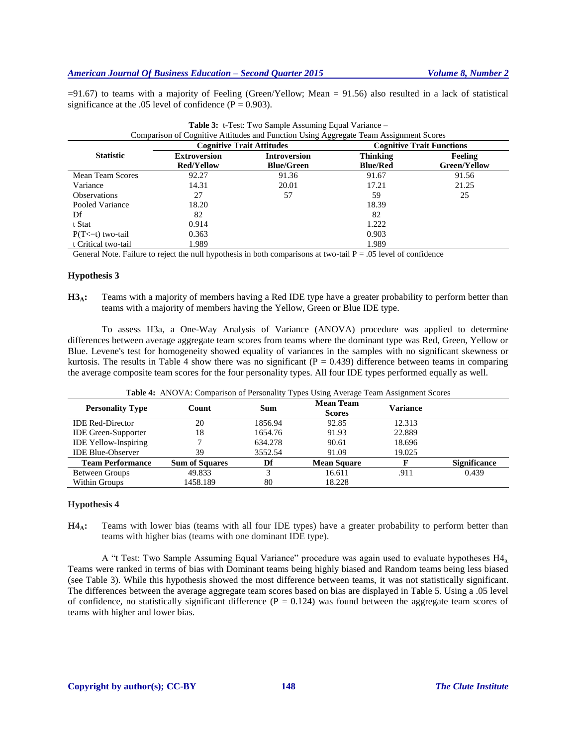$=91.67$ ) to teams with a majority of Feeling (Green/Yellow; Mean = 91.56) also resulted in a lack of statistical significance at the .05 level of confidence ( $P = 0.903$ ).

**Table 3:** t-Test: Two Sample Assuming Equal Variance –

| Comparison of Cognitive Attitudes and Function Using Aggregate Team Assignment Scores |                                  |                     |                                  |                     |  |
|---------------------------------------------------------------------------------------|----------------------------------|---------------------|----------------------------------|---------------------|--|
|                                                                                       | <b>Cognitive Trait Attitudes</b> |                     | <b>Cognitive Trait Functions</b> |                     |  |
| <b>Statistic</b>                                                                      | <b>Extroversion</b>              | <b>Introversion</b> | <b>Thinking</b>                  | <b>Feeling</b>      |  |
|                                                                                       | <b>Red/Yellow</b>                | <b>Blue/Green</b>   | <b>Blue/Red</b>                  | <b>Green/Yellow</b> |  |
| <b>Mean Team Scores</b>                                                               | 92.27                            | 91.36               | 91.67                            | 91.56               |  |
| Variance                                                                              | 14.31                            | 20.01               | 17.21                            | 21.25               |  |
| <b>Observations</b>                                                                   | 27                               | 57                  | 59                               | 25                  |  |
| Pooled Variance                                                                       | 18.20                            |                     | 18.39                            |                     |  |
| Df                                                                                    | 82                               |                     | 82                               |                     |  |
| t Stat                                                                                | 0.914                            |                     | 1.222                            |                     |  |
| $P(T \le t)$ two-tail                                                                 | 0.363                            |                     | 0.903                            |                     |  |
| t Critical two-tail                                                                   | 1.989                            |                     | 1.989                            |                     |  |

General Note. Failure to reject the null hypothesis in both comparisons at two-tail  $P = .05$  level of confidence

#### **Hypothesis 3**

**H3A:** Teams with a majority of members having a Red IDE type have a greater probability to perform better than teams with a majority of members having the Yellow, Green or Blue IDE type.

To assess H3a, a One-Way Analysis of Variance (ANOVA) procedure was applied to determine differences between average aggregate team scores from teams where the dominant type was Red, Green, Yellow or Blue. Levene's test for homogeneity showed equality of variances in the samples with no significant skewness or kurtosis. The results in Table 4 show there was no significant ( $P = 0.439$ ) difference between teams in comparing the average composite team scores for the four personality types. All four IDE types performed equally as well.

| Table 4: ANOVA: Comparison of Personality Types Using Average Team Assignment Scores |
|--------------------------------------------------------------------------------------|
|--------------------------------------------------------------------------------------|

| <b>Personality Type</b>     | Count                 | Sum     | <b>Mean Team</b><br><b>Scores</b> | <b>Variance</b> |                     |
|-----------------------------|-----------------------|---------|-----------------------------------|-----------------|---------------------|
| <b>IDE Red-Director</b>     | 20                    | 1856.94 | 92.85                             | 12.313          |                     |
| <b>IDE</b> Green-Supporter  | 18                    | 1654.76 | 91.93                             | 22.889          |                     |
| <b>IDE Yellow-Inspiring</b> |                       | 634.278 | 90.61                             | 18.696          |                     |
| <b>IDE Blue-Observer</b>    | 39                    | 3552.54 | 91.09                             | 19.025          |                     |
| <b>Team Performance</b>     | <b>Sum of Squares</b> | Df      | <b>Mean Square</b>                |                 | <b>Significance</b> |
| Between Groups              | 49.833                |         | 16.611                            | .911            | 0.439               |
| Within Groups               | 1458.189              | 80      | 18.228                            |                 |                     |

#### **Hypothesis 4**

**H4A:** Teams with lower bias (teams with all four IDE types) have a greater probability to perform better than teams with higher bias (teams with one dominant IDE type).

A "t Test: Two Sample Assuming Equal Variance" procedure was again used to evaluate hypotheses H4a. Teams were ranked in terms of bias with Dominant teams being highly biased and Random teams being less biased (see Table 3). While this hypothesis showed the most difference between teams, it was not statistically significant. The differences between the average aggregate team scores based on bias are displayed in Table 5. Using a .05 level of confidence, no statistically significant difference ( $P = 0.124$ ) was found between the aggregate team scores of teams with higher and lower bias.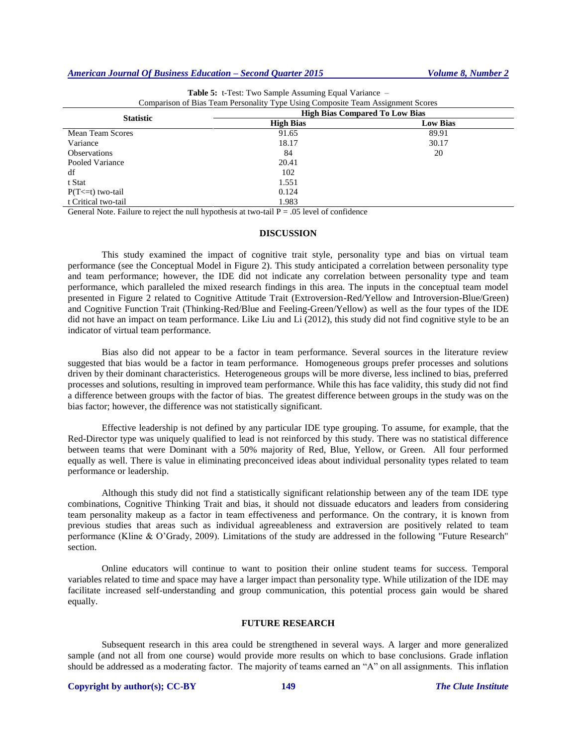| Comparison of Dias Team I cristmany Type Come Composite Team I workingtoned |                                       |                 |  |  |  |
|-----------------------------------------------------------------------------|---------------------------------------|-----------------|--|--|--|
|                                                                             | <b>High Bias Compared To Low Bias</b> |                 |  |  |  |
| <b>Statistic</b>                                                            | <b>High Bias</b>                      | <b>Low Bias</b> |  |  |  |
| <b>Mean Team Scores</b>                                                     | 91.65                                 | 89.91           |  |  |  |
| Variance                                                                    | 18.17                                 | 30.17           |  |  |  |
| <b>Observations</b>                                                         | 84                                    | 20              |  |  |  |
| Pooled Variance                                                             | 20.41                                 |                 |  |  |  |
| df                                                                          | 102                                   |                 |  |  |  |
| t Stat                                                                      | 1.551                                 |                 |  |  |  |
| $P(T \le t)$ two-tail                                                       | 0.124                                 |                 |  |  |  |
| t Critical two-tail                                                         | 1.983                                 |                 |  |  |  |

| <b>Table 5:</b> t-Test: Two Sample Assuming Equal Variance –                    |  |
|---------------------------------------------------------------------------------|--|
| Comparison of Bias Team Personality Type Using Composite Team Assignment Scores |  |

General Note. Failure to reject the null hypothesis at two-tail  $P = .05$  level of confidence

## **DISCUSSION**

This study examined the impact of cognitive trait style, personality type and bias on virtual team performance (see the Conceptual Model in Figure 2). This study anticipated a correlation between personality type and team performance; however, the IDE did not indicate any correlation between personality type and team performance, which paralleled the mixed research findings in this area. The inputs in the conceptual team model presented in Figure 2 related to Cognitive Attitude Trait (Extroversion-Red/Yellow and Introversion-Blue/Green) and Cognitive Function Trait (Thinking-Red/Blue and Feeling-Green/Yellow) as well as the four types of the IDE did not have an impact on team performance. Like Liu and Li (2012), this study did not find cognitive style to be an indicator of virtual team performance.

Bias also did not appear to be a factor in team performance. Several sources in the literature review suggested that bias would be a factor in team performance. Homogeneous groups prefer processes and solutions driven by their dominant characteristics. Heterogeneous groups will be more diverse, less inclined to bias, preferred processes and solutions, resulting in improved team performance. While this has face validity, this study did not find a difference between groups with the factor of bias. The greatest difference between groups in the study was on the bias factor; however, the difference was not statistically significant.

Effective leadership is not defined by any particular IDE type grouping. To assume, for example, that the Red-Director type was uniquely qualified to lead is not reinforced by this study. There was no statistical difference between teams that were Dominant with a 50% majority of Red, Blue, Yellow, or Green. All four performed equally as well. There is value in eliminating preconceived ideas about individual personality types related to team performance or leadership.

Although this study did not find a statistically significant relationship between any of the team IDE type combinations, Cognitive Thinking Trait and bias, it should not dissuade educators and leaders from considering team personality makeup as a factor in team effectiveness and performance. On the contrary, it is known from previous studies that areas such as individual agreeableness and extraversion are positively related to team performance (Kline & O'Grady, 2009). Limitations of the study are addressed in the following "Future Research" section.

Online educators will continue to want to position their online student teams for success. Temporal variables related to time and space may have a larger impact than personality type. While utilization of the IDE may facilitate increased self-understanding and group communication, this potential process gain would be shared equally.

## **FUTURE RESEARCH**

Subsequent research in this area could be strengthened in several ways. A larger and more generalized sample (and not all from one course) would provide more results on which to base conclusions. Grade inflation should be addressed as a moderating factor. The majority of teams earned an "A" on all assignments. This inflation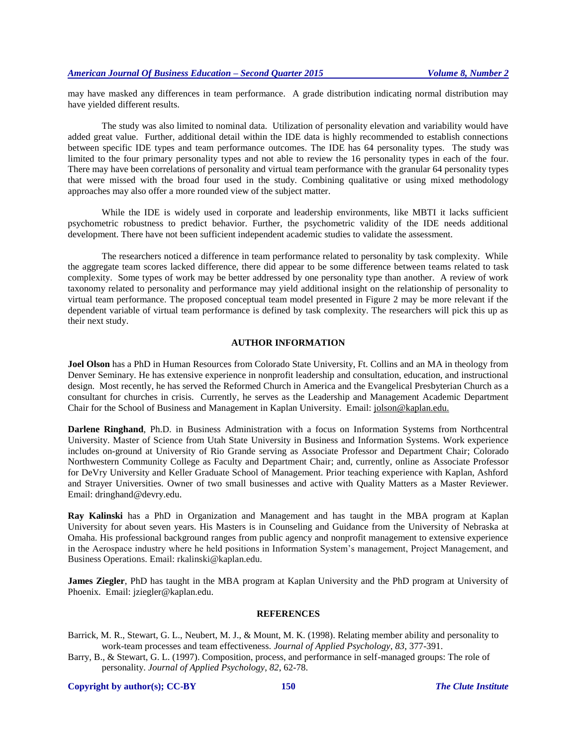may have masked any differences in team performance. A grade distribution indicating normal distribution may have yielded different results.

The study was also limited to nominal data. Utilization of personality elevation and variability would have added great value. Further, additional detail within the IDE data is highly recommended to establish connections between specific IDE types and team performance outcomes. The IDE has 64 personality types. The study was limited to the four primary personality types and not able to review the 16 personality types in each of the four. There may have been correlations of personality and virtual team performance with the granular 64 personality types that were missed with the broad four used in the study. Combining qualitative or using mixed methodology approaches may also offer a more rounded view of the subject matter.

While the IDE is widely used in corporate and leadership environments, like MBTI it lacks sufficient psychometric robustness to predict behavior. Further, the psychometric validity of the IDE needs additional development. There have not been sufficient independent academic studies to validate the assessment.

The researchers noticed a difference in team performance related to personality by task complexity. While the aggregate team scores lacked difference, there did appear to be some difference between teams related to task complexity. Some types of work may be better addressed by one personality type than another. A review of work taxonomy related to personality and performance may yield additional insight on the relationship of personality to virtual team performance. The proposed conceptual team model presented in Figure 2 may be more relevant if the dependent variable of virtual team performance is defined by task complexity. The researchers will pick this up as their next study.

#### **AUTHOR INFORMATION**

**Joel Olson** has a PhD in Human Resources from Colorado State University, Ft. Collins and an MA in theology from Denver Seminary. He has extensive experience in nonprofit leadership and consultation, education, and instructional design. Most recently, he has served the Reformed Church in America and the Evangelical Presbyterian Church as a consultant for churches in crisis. Currently, he serves as the Leadership and Management Academic Department Chair for the School of Business and Management in Kaplan University. Email: [jolson@kaplan.edu.](mailto:jolson@kaplan.edu)

**Darlene Ringhand**, Ph.D. in Business Administration with a focus on Information Systems from Northcentral University. Master of Science from Utah State University in Business and Information Systems. Work experience includes on-ground at University of Rio Grande serving as Associate Professor and Department Chair; Colorado Northwestern Community College as Faculty and Department Chair; and, currently, online as Associate Professor for DeVry University and Keller Graduate School of Management. Prior teaching experience with Kaplan, Ashford and Strayer Universities. Owner of two small businesses and active with Quality Matters as a Master Reviewer. Email: [dringhand@devry.edu.](mailto:dringhand@devry.edu)

**Ray Kalinski** has a PhD in Organization and Management and has taught in the MBA program at Kaplan University for about seven years. His Masters is in Counseling and Guidance from the University of Nebraska at Omaha. His professional background ranges from public agency and nonprofit management to extensive experience in the Aerospace industry where he held positions in Information System's management, Project Management, and Business Operations. Email: [rkalinski@kaplan.edu.](mailto:rkalinski@kaplan.edu)

**James Ziegler**, PhD has taught in the MBA program at Kaplan University and the PhD program at University of Phoenix. Email: [jziegler@kaplan.edu.](mailto:jziegler@kaplan.edu)

#### **REFERENCES**

- Barrick, M. R., Stewart, G. L., Neubert, M. J., & Mount, M. K. (1998). Relating member ability and personality to work-team processes and team effectiveness. *Journal of Applied Psychology*, *83*, 377-391.
- Barry, B., & Stewart, G. L. (1997). Composition, process, and performance in self-managed groups: The role of personality. *Journal of Applied Psychology*, *82*, 62-78.

**Copyright by author(s); CC-BY 150** *The Clute Institute*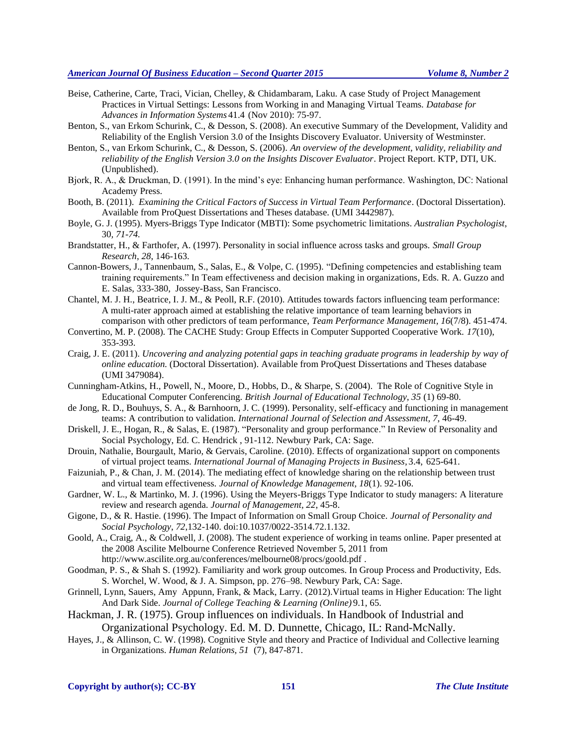- Beise, Catherine, Carte, Traci, Vician, Chelley, & Chidambaram, Laku. A case Study of Project Management Practices in Virtual Settings: Lessons from Working in and Managing Virtual Teams. *Database for Advances in Information Systems* 41.4 (Nov 2010): 75-97.
- Benton, S., van Erkom Schurink, C., & Desson, S. (2008). An executive Summary of the Development, Validity and Reliability of the English Version 3.0 of the Insights Discovery Evaluator. University of Westminster.
- Benton, S., van Erkom Schurink, C., & Desson, S. (2006). *An overview of the development, validity, reliability and reliability of the English Version 3.0 on the Insights Discover Evaluator*. Project Report. KTP, DTI, UK. (Unpublished).
- Bjork, R. A., & Druckman, D. (1991). In the mind's eye: Enhancing human performance. Washington, DC: National Academy Press.
- Booth, B. (2011). *Examining the Critical Factors of Success in Virtual Team Performance*. (Doctoral Dissertation). Available from ProQuest Dissertations and Theses database. (UMI 3442987).
- Boyle, G. J. (1995). Myers-Briggs Type Indicator (MBTI): Some psychometric limitations. *Australian Psychologist*, 30*, 71-74.*
- Brandstatter, H., & Farthofer, A. (1997). Personality in social influence across tasks and groups. *Small Group Research*, *28*, 146-163.
- Cannon-Bowers, J., Tannenbaum, S., Salas, E., & Volpe, C. (1995). "Defining competencies and establishing team training requirements." In Team effectiveness and decision making in organizations, Eds. R. A. Guzzo and E. Salas, 333-380, Jossey-Bass, San Francisco.
- Chantel, M. J. H., Beatrice, I. J. M., & Peoll, R.F. (2010). Attitudes towards factors influencing team performance: A multi-rater approach aimed at establishing the relative importance of team learning behaviors in comparison with other predictors of team performance, *Team Performance Management, 16*(7/8). 451-474.
- Convertino, M. P. (2008). The CACHE Study: Group Effects in Computer Supported Cooperative Work. *17*(10), 353-393.
- Craig, J. E. (2011). *Uncovering and analyzing potential gaps in teaching graduate programs in leadership by way of online education.* (Doctoral Dissertation). Available from ProQuest Dissertations and Theses database (UMI 3479084).
- Cunningham-Atkins, H., Powell, N., Moore, D., Hobbs, D., & Sharpe, S. (2004). The Role of Cognitive Style in Educational Computer Conferencing. *British Journal of Educational Technology, 35* (1) 69-80.
- de Jong, R. D., Bouhuys, S. A., & Barnhoorn, J. C. (1999). Personality, self-efficacy and functioning in management teams: A contribution to validation. *International Journal of Selection and Assessment, 7*, 46-49.
- Driskell, J. E., Hogan, R., & Salas, E. (1987). "Personality and group performance." In Review of Personality and Social Psychology, Ed. C. Hendrick , 91-112. Newbury Park, CA: Sage.
- Drouin, Nathalie, Bourgault, Mario, & Gervais, Caroline. (2010). Effects of organizational support on components of virtual project teams*. International Journal of Managing Projects in Business,* 3.4, 625-641.
- Faizuniah, P., & Chan, J. M. (2014). The mediating effect of knowledge sharing on the relationship between trust and virtual team effectiveness. *Journal of Knowledge Management, 18*(1). 92-106.
- Gardner, W. L., & Martinko, M. J. (1996). Using the Meyers-Briggs Type Indicator to study managers: A literature review and research agenda. *Journal of Management, 22*, 45-8.
- Gigone, D., & R. Hastie. (1996). The Impact of Information on Small Group Choice. *Journal of Personality and Social Psychology*, *72*,132-140. doi:10.1037/0022-3514.72.1.132.
- Goold, A., Craig, A., & Coldwell, J. (2008). The student experience of working in teams online. Paper presented at the 2008 Ascilite Melbourne Conference Retrieved November 5, 2011 from http://www.ascilite.org.au/conferences/melbourne08/procs/goold.pdf .
- Goodman, P. S., & Shah S. (1992). Familiarity and work group outcomes. In Group Process and Productivity, Eds. S. Worchel, W. Wood, & J. A. Simpson, pp. 276–98. Newbury Park, CA: Sage.
- Grinnell, Lynn, Sauers, Amy Appunn, Frank, & Mack, Larry. (2012).Virtual teams in Higher Education: The light And Dark Side. *Journal of College Teaching & Learning (Online)* 9.1, 65.
- Hackman, J. R. (1975). Group influences on individuals. In Handbook of Industrial and Organizational Psychology. Ed. M. D. Dunnette, Chicago, IL: Rand-McNally.
- Hayes, J., & Allinson, C. W. (1998). Cognitive Style and theory and Practice of Individual and Collective learning in Organizations. *Human Relations, 51* (7), 847-871.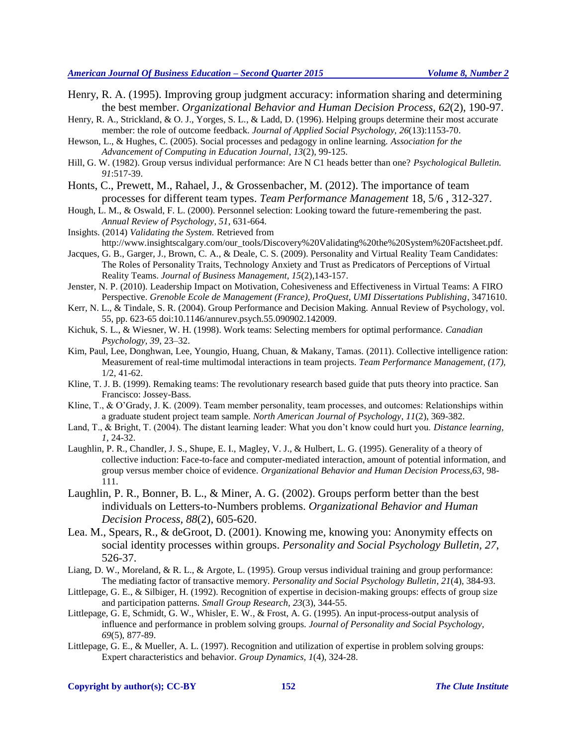- Henry, R. A. (1995). Improving group judgment accuracy: information sharing and determining the best member. *Organizational Behavior and Human Decision Process, 62*(2), 190-97.
- Henry, R. A., Strickland, & O. J., Yorges, S. L., & Ladd, D. (1996). Helping groups determine their most accurate member: the role of outcome feedback. *Journal of Applied Social Psychology, 26*(13):1153-70.
- Hewson, L., & Hughes, C. (2005). Social processes and pedagogy in online learning. *Association for the Advancement of Computing in Education Journal*, *13*(2), 99-125.
- Hill, G. W. (1982). Group versus individual performance: Are N C1 heads better than one? *Psychological Bulletin. 91*:517-39.
- Honts, C., Prewett, M., Rahael, J., & Grossenbacher, M. (2012). The importance of team processes for different team types. *Team Performance Management* 18, 5/6 , 312-327.
- Hough, L. M., & Oswald, F. L. (2000). Personnel selection: Looking toward the future-remembering the past. *Annual Review of Psychology*, *51*, 631-664.
- Insights. (2014) *Validating the System.* Retrieved from http://www.insightscalgary.com/our\_tools/Discovery%20Validating%20the%20System%20Factsheet.pdf.
- Jacques, G. B., Garger, J., Brown, C. A., & Deale, C. S. (2009). Personality and Virtual Reality Team Candidates: The Roles of Personality Traits, Technology Anxiety and Trust as Predicators of Perceptions of Virtual Reality Teams. *Journal of Business Management, 15*(2),143-157.
- Jenster, N. P. (2010). Leadership Impact on Motivation, Cohesiveness and Effectiveness in Virtual Teams: A FIRO Perspective. *Grenoble Ecole de Management (France), ProQuest, UMI Dissertations Publishing*, 3471610.
- Kerr, N. L., & Tindale, S. R. (2004). Group Performance and Decision Making. Annual Review of Psychology, vol. 55, pp. 623-65 doi:10.1146/annurev.psych.55.090902.142009.
- Kichuk, S. L., & Wiesner, W. H. (1998). Work teams: Selecting members for optimal performance. *Canadian Psychology, 39*, 23–32.
- Kim, Paul, Lee, Donghwan, Lee, Youngio, Huang, Chuan, & Makany, Tamas. (2011). Collective intelligence ration: Measurement of real-time multimodal interactions in team projects. *Team Performance Management, (17),* 1/2, 41-62.
- Kline, T. J. B. (1999). Remaking teams: The revolutionary research based guide that puts theory into practice. San Francisco: Jossey-Bass.
- Kline, T., & O'Grady, J. K. (2009). Team member personality, team processes, and outcomes: Relationships within a graduate student project team sample. *North American Journal of Psychology*, *11*(2), 369-382.
- Land, T., & Bright, T. (2004). The distant learning leader: What you don't know could hurt you. *Distance learning, 1,* 24-32.
- Laughlin, P. R., Chandler, J. S., Shupe, E. I., Magley, V. J., & Hulbert, L. G. (1995). Generality of a theory of collective induction: Face-to-face and computer-mediated interaction, amount of potential information, and group versus member choice of evidence. *Organizational Behavior and Human Decision Process,63*, 98- 111.
- Laughlin, P. R., Bonner, B. L., & Miner, A. G. (2002). Groups perform better than the best individuals on Letters-to-Numbers problems. *Organizational Behavior and Human Decision Process, 88*(2), 605-620.
- Lea. M., Spears, R., & deGroot, D. (2001). Knowing me, knowing you: Anonymity effects on social identity processes within groups. *Personality and Social Psychology Bulletin, 27*, 526-37.
- Liang, D. W., Moreland, & R. L., & Argote, L. (1995). Group versus individual training and group performance: The mediating factor of transactive memory. *Personality and Social Psychology Bulletin*, *21*(4), 384-93.
- Littlepage, G. E., & Silbiger, H. (1992). Recognition of expertise in decision-making groups: effects of group size and participation patterns. *Small Group Research, 23*(3), 344-55.
- Littlepage, G. E, Schmidt, G. W., Whisler, E. W., & Frost, A. G. (1995). An input-process-output analysis of influence and performance in problem solving groups. *Journal of Personality and Social Psychology, 69*(5), 877-89.
- Littlepage, G. E., & Mueller, A. L. (1997). Recognition and utilization of expertise in problem solving groups: Expert characteristics and behavior. *Group Dynamics, 1*(4), 324-28.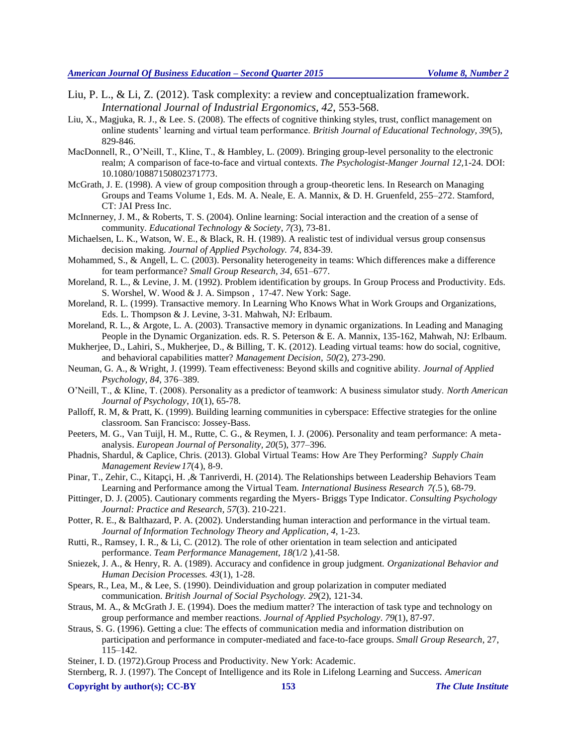- Liu, P. L., & Li, Z. (2012). Task complexity: a review and conceptualization framework. *International Journal of Industrial Ergonomics, 42*, 553-568.
- Liu, X., Magjuka, R. J., & Lee. S. (2008). The effects of cognitive thinking styles, trust, conflict management on online students' learning and virtual team performance. *British Journal of Educational Technology, 39*(5), 829-846.
- MacDonnell, R., O'Neill, T., Kline, T., & Hambley, L. (2009). Bringing group-level personality to the electronic realm; A comparison of face-to-face and virtual contexts. *The Psychologist-Manger Journal 12,*1-24. DOI: 10.1080/10887150802371773.
- McGrath, J. E. (1998). A view of group composition through a group-theoretic lens. In Research on Managing Groups and Teams Volume 1, Eds. M. A. Neale, E. A. Mannix, & D. H. Gruenfeld, 255–272. Stamford, CT: JAI Press Inc.
- McInnerney, J. M., & Roberts, T. S. (2004). Online learning: Social interaction and the creation of a sense of community. *Educational Technology & Society*, *7(*3), 73-81.
- Michaelsen, L. K., Watson, W. E., & Black, R. H. (1989). A realistic test of individual versus group consensus decision making. *Journal of Applied Psychology. 74*, 834-39.
- Mohammed, S., & Angell, L. C. (2003). Personality heterogeneity in teams: Which differences make a difference for team performance? *Small Group Research, 34*, 651–677.
- Moreland, R. L., & Levine, J. M. (1992). Problem identification by groups. In Group Process and Productivity. Eds. S. Worshel, W. Wood & J. A. Simpson , 17-47. New York: Sage.
- Moreland, R. L. (1999). Transactive memory. In Learning Who Knows What in Work Groups and Organizations, Eds. L. Thompson & J. Levine, 3-31. Mahwah, NJ: Erlbaum.
- Moreland, R. L., & Argote, L. A. (2003). Transactive memory in dynamic organizations. In Leading and Managing People in the Dynamic Organization. eds. R. S. Peterson & E. A. Mannix, 135-162, Mahwah, NJ: Erlbaum.
- Mukherjee, D., Lahiri, S., Mukherjee, D., & Billing, T. K. (2012). Leading virtual teams: how do social, cognitive, and behavioral capabilities matter? *Management Decision, 50(*2), 273-290.
- Neuman, G. A., & Wright, J. (1999). Team effectiveness: Beyond skills and cognitive ability. *Journal of Applied Psychology, 84,* 376–389.
- O'Neill, T., & Kline, T. (2008). Personality as a predictor of teamwork: A business simulator study. *North American Journal of Psychology*, *10*(1), 65-78.
- Palloff, R. M, & Pratt, K. (1999). Building learning communities in cyberspace: Effective strategies for the online classroom. San Francisco: Jossey-Bass.
- Peeters, M. G., Van Tuijl, H. M., Rutte, C. G., & Reymen, I. J. (2006). Personality and team performance: A metaanalysis. *European Journal of Personality, 20*(5), 377–396.
- Phadnis, Shardul, & Caplice, Chris. (2013). Global Virtual Teams: How Are They Performing? *Supply Chain Management Review17*(4), 8-9.
- Pinar, T., Zehir, C., Kitapçi, H. ,& Tanriverdi, H. (2014). The Relationships between Leadership Behaviors Team Learning and Performance among the Virtual Team*. International Business Research 7(*.5 ), 68-79.
- Pittinger, D. J. (2005). Cautionary comments regarding the Myers- Briggs Type Indicator. *Consulting Psychology Journal: Practice and Research, 57*(3). 210-221.
- Potter, R. E., & Balthazard, P. A. (2002). Understanding human interaction and performance in the virtual team. *Journal of Information Technology Theory and Application*, *4,* 1-23.
- Rutti, R., Ramsey, I. R., & Li, C. (2012). The role of other orientation in team selection and anticipated performance. *Team Performance Management, 18(*1/2 ),41-58.
- Sniezek, J. A., & Henry, R. A. (1989). Accuracy and confidence in group judgment. *Organizational Behavior and Human Decision Processes. 43*(1), 1-28.
- Spears, R., Lea, M., & Lee, S. (1990). Deindividuation and group polarization in computer mediated communication. *British Journal of Social Psychology. 29*(2), 121-34.
- Straus, M. A., & McGrath J. E. (1994). Does the medium matter? The interaction of task type and technology on group performance and member reactions. *Journal of Applied Psychology*. *79*(1), 87-97.
- Straus, S. G. (1996). Getting a clue: The effects of communication media and information distribution on participation and performance in computer-mediated and face-to-face groups. *Small Group Research*, 27, 115–142.
- Steiner, I. D. (1972).Group Process and Productivity. New York: Academic.

Sternberg, R. J. (1997). The Concept of Intelligence and its Role in Lifelong Learning and Success. *American* 

#### **Copyright by author(s); CC-BY 153** *The Clute Institute*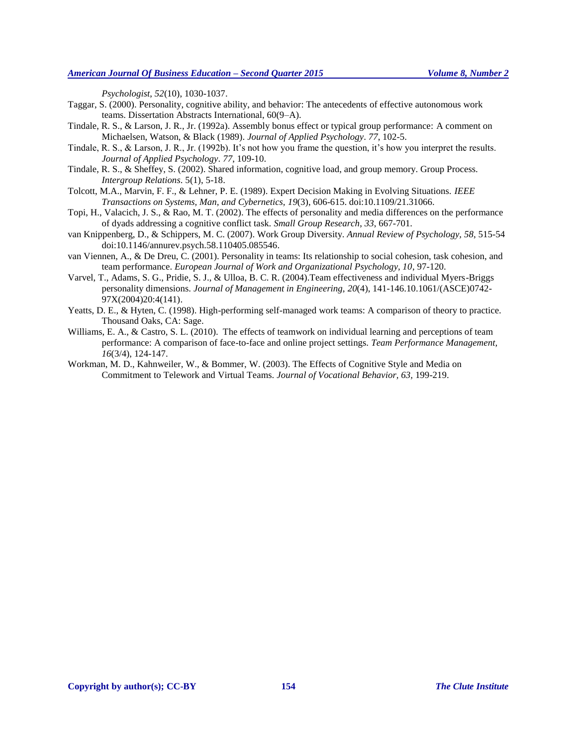*Psychologist*, *52*(10), 1030-1037.

- Taggar, S. (2000). Personality, cognitive ability, and behavior: The antecedents of effective autonomous work teams. Dissertation Abstracts International, 60(9–A).
- Tindale, R. S., & Larson, J. R., Jr. (1992a). Assembly bonus effect or typical group performance: A comment on Michaelsen, Watson, & Black (1989). *Journal of Applied Psychology*. *77*, 102-5.
- Tindale, R. S., & Larson, J. R., Jr. (1992b). It's not how you frame the question, it's how you interpret the results. *Journal of Applied Psychology*. *77*, 109-10.
- Tindale, R. S., & Sheffey, S. (2002). Shared information, cognitive load, and group memory. Group Process. *Intergroup Relations*. 5(1), 5-18.
- Tolcott, M.A., Marvin, F. F., & Lehner, P. E. (1989). Expert Decision Making in Evolving Situations. *IEEE Transactions on Systems, Man, and Cybernetics, 19*(3), 606-615. doi:10.1109/21.31066.
- Topi, H., Valacich, J. S., & Rao, M. T. (2002). The effects of personality and media differences on the performance of dyads addressing a cognitive conflict task. *Small Group Research*, *33*, 667-701.
- van Knippenberg, D., & Schippers, M. C. (2007). Work Group Diversity. *Annual Review of Psychology, 58*, 515-54 doi:10.1146/annurev.psych.58.110405.085546.
- van Viennen, A., & De Dreu, C. (2001). Personality in teams: Its relationship to social cohesion, task cohesion, and team performance. *European Journal of Work and Organizational Psychology, 10*, 97-120.
- Varvel, T., Adams, S. G., Pridie, S. J., & Ulloa, B. C. R. (2004).Team effectiveness and individual Myers-Briggs personality dimensions. *Journal of Management in Engineering, 20*(4), 141-146.10.1061/(ASCE)0742- 97X(2004)20:4(141).
- Yeatts, D. E., & Hyten, C. (1998). High-performing self-managed work teams: A comparison of theory to practice. Thousand Oaks, CA: Sage.
- Williams, E. A., & Castro, S. L. (2010). The effects of teamwork on individual learning and perceptions of team performance: A comparison of face-to-face and online project settings. *Team Performance Management, 16*(3/4), 124-147.
- Workman, M. D., Kahnweiler, W., & Bommer, W. (2003). The Effects of Cognitive Style and Media on Commitment to Telework and Virtual Teams. *Journal of Vocational Behavior, 63,* 199-219.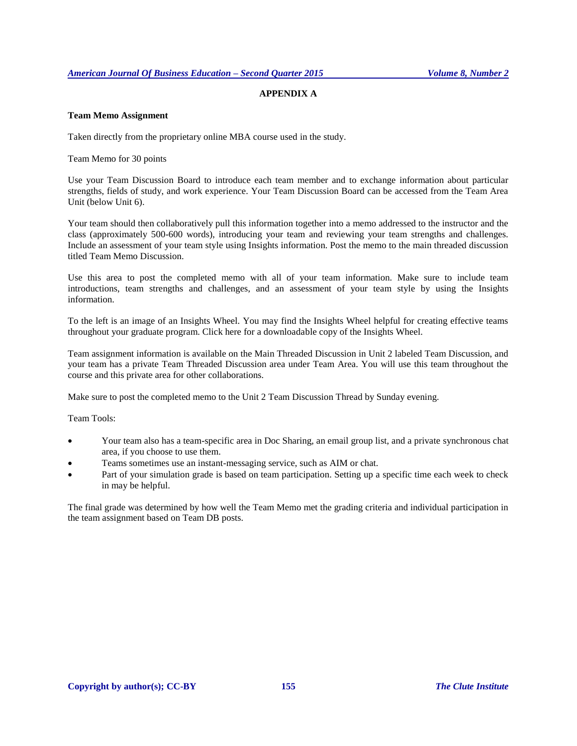# **APPENDIX A**

## **Team Memo Assignment**

Taken directly from the proprietary online MBA course used in the study.

Team Memo for 30 points

Use your Team Discussion Board to introduce each team member and to exchange information about particular strengths, fields of study, and work experience. Your Team Discussion Board can be accessed from the Team Area Unit (below Unit 6).

Your team should then collaboratively pull this information together into a memo addressed to the instructor and the class (approximately 500-600 words), introducing your team and reviewing your team strengths and challenges. Include an assessment of your team style using Insights information. Post the memo to the main threaded discussion titled Team Memo Discussion.

Use this area to post the completed memo with all of your team information. Make sure to include team introductions, team strengths and challenges, and an assessment of your team style by using the Insights information.

To the left is an image of an Insights Wheel. You may find the Insights Wheel helpful for creating effective teams throughout your graduate program. Click here for a downloadable copy of the Insights Wheel.

Team assignment information is available on the Main Threaded Discussion in Unit 2 labeled Team Discussion, and your team has a private Team Threaded Discussion area under Team Area. You will use this team throughout the course and this private area for other collaborations.

Make sure to post the completed memo to the Unit 2 Team Discussion Thread by Sunday evening.

Team Tools:

- Your team also has a team-specific area in Doc Sharing, an email group list, and a private synchronous chat area, if you choose to use them.
- Teams sometimes use an instant-messaging service, such as AIM or chat.
- Part of your simulation grade is based on team participation. Setting up a specific time each week to check in may be helpful.

The final grade was determined by how well the Team Memo met the grading criteria and individual participation in the team assignment based on Team DB posts.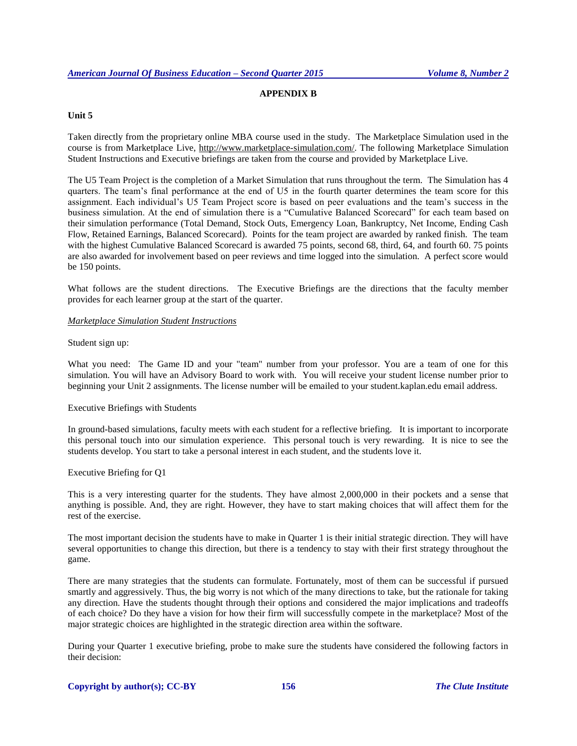# **APPENDIX B**

## **Unit 5**

Taken directly from the proprietary online MBA course used in the study. The Marketplace Simulation used in the course is from Marketplace Live, [http://www.marketplace-simulation.com/.](http://www.marketplace-simulation.com/) The following Marketplace Simulation Student Instructions and Executive briefings are taken from the course and provided by Marketplace Live.

The U5 Team Project is the completion of a Market Simulation that runs throughout the term. The Simulation has 4 quarters. The team's final performance at the end of U5 in the fourth quarter determines the team score for this assignment. Each individual's U5 Team Project score is based on peer evaluations and the team's success in the business simulation. At the end of simulation there is a "Cumulative Balanced Scorecard" for each team based on their simulation performance (Total Demand, Stock Outs, Emergency Loan, Bankruptcy, Net Income, Ending Cash Flow, Retained Earnings, Balanced Scorecard). Points for the team project are awarded by ranked finish. The team with the highest Cumulative Balanced Scorecard is awarded 75 points, second 68, third, 64, and fourth 60. 75 points are also awarded for involvement based on peer reviews and time logged into the simulation. A perfect score would be 150 points.

What follows are the student directions. The Executive Briefings are the directions that the faculty member provides for each learner group at the start of the quarter.

## *Marketplace Simulation Student Instructions*

## Student sign up:

What you need: The Game ID and your "team" number from your professor. You are a team of one for this simulation. You will have an Advisory Board to work with. You will receive your student license number prior to beginning your Unit 2 assignments. The license number will be emailed to your student.kaplan.edu email address.

#### Executive Briefings with Students

In ground-based simulations, faculty meets with each student for a reflective briefing. It is important to incorporate this personal touch into our simulation experience. This personal touch is very rewarding. It is nice to see the students develop. You start to take a personal interest in each student, and the students love it.

#### Executive Briefing for Q1

This is a very interesting quarter for the students. They have almost 2,000,000 in their pockets and a sense that anything is possible. And, they are right. However, they have to start making choices that will affect them for the rest of the exercise.

The most important decision the students have to make in Quarter 1 is their initial strategic direction. They will have several opportunities to change this direction, but there is a tendency to stay with their first strategy throughout the game.

There are many strategies that the students can formulate. Fortunately, most of them can be successful if pursued smartly and aggressively. Thus, the big worry is not which of the many directions to take, but the rationale for taking any direction. Have the students thought through their options and considered the major implications and tradeoffs of each choice? Do they have a vision for how their firm will successfully compete in the marketplace? Most of the major strategic choices are highlighted in the strategic direction area within the software.

During your Quarter 1 executive briefing, probe to make sure the students have considered the following factors in their decision: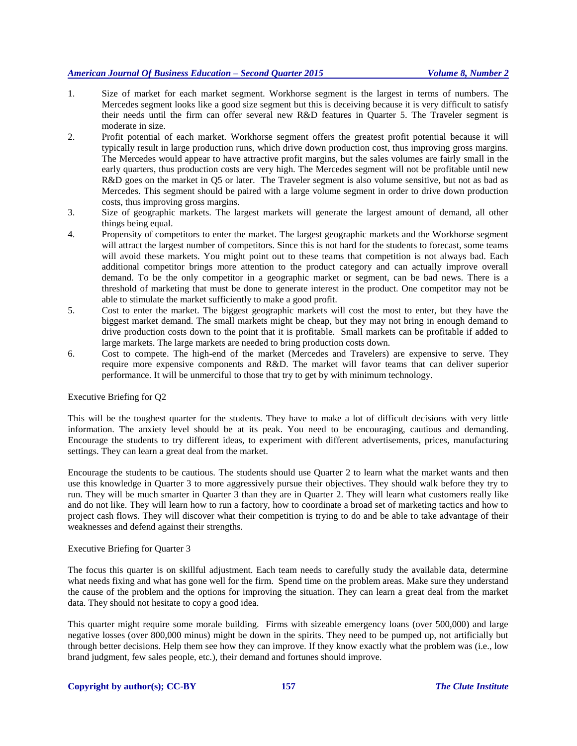- 1. Size of market for each market segment. Workhorse segment is the largest in terms of numbers. The Mercedes segment looks like a good size segment but this is deceiving because it is very difficult to satisfy their needs until the firm can offer several new R&D features in Quarter 5. The Traveler segment is moderate in size.
- 2. Profit potential of each market. Workhorse segment offers the greatest profit potential because it will typically result in large production runs, which drive down production cost, thus improving gross margins. The Mercedes would appear to have attractive profit margins, but the sales volumes are fairly small in the early quarters, thus production costs are very high. The Mercedes segment will not be profitable until new R&D goes on the market in Q5 or later. The Traveler segment is also volume sensitive, but not as bad as Mercedes. This segment should be paired with a large volume segment in order to drive down production costs, thus improving gross margins.
- 3. Size of geographic markets. The largest markets will generate the largest amount of demand, all other things being equal.
- 4. Propensity of competitors to enter the market. The largest geographic markets and the Workhorse segment will attract the largest number of competitors. Since this is not hard for the students to forecast, some teams will avoid these markets. You might point out to these teams that competition is not always bad. Each additional competitor brings more attention to the product category and can actually improve overall demand. To be the only competitor in a geographic market or segment, can be bad news. There is a threshold of marketing that must be done to generate interest in the product. One competitor may not be able to stimulate the market sufficiently to make a good profit.
- 5. Cost to enter the market. The biggest geographic markets will cost the most to enter, but they have the biggest market demand. The small markets might be cheap, but they may not bring in enough demand to drive production costs down to the point that it is profitable. Small markets can be profitable if added to large markets. The large markets are needed to bring production costs down.
- 6. Cost to compete. The high-end of the market (Mercedes and Travelers) are expensive to serve. They require more expensive components and R&D. The market will favor teams that can deliver superior performance. It will be unmerciful to those that try to get by with minimum technology.

## Executive Briefing for Q2

This will be the toughest quarter for the students. They have to make a lot of difficult decisions with very little information. The anxiety level should be at its peak. You need to be encouraging, cautious and demanding. Encourage the students to try different ideas, to experiment with different advertisements, prices, manufacturing settings. They can learn a great deal from the market.

Encourage the students to be cautious. The students should use Quarter 2 to learn what the market wants and then use this knowledge in Quarter 3 to more aggressively pursue their objectives. They should walk before they try to run. They will be much smarter in Quarter 3 than they are in Quarter 2. They will learn what customers really like and do not like. They will learn how to run a factory, how to coordinate a broad set of marketing tactics and how to project cash flows. They will discover what their competition is trying to do and be able to take advantage of their weaknesses and defend against their strengths.

## Executive Briefing for Quarter 3

The focus this quarter is on skillful adjustment. Each team needs to carefully study the available data, determine what needs fixing and what has gone well for the firm. Spend time on the problem areas. Make sure they understand the cause of the problem and the options for improving the situation. They can learn a great deal from the market data. They should not hesitate to copy a good idea.

This quarter might require some morale building. Firms with sizeable emergency loans (over 500,000) and large negative losses (over 800,000 minus) might be down in the spirits. They need to be pumped up, not artificially but through better decisions. Help them see how they can improve. If they know exactly what the problem was (i.e., low brand judgment, few sales people, etc.), their demand and fortunes should improve.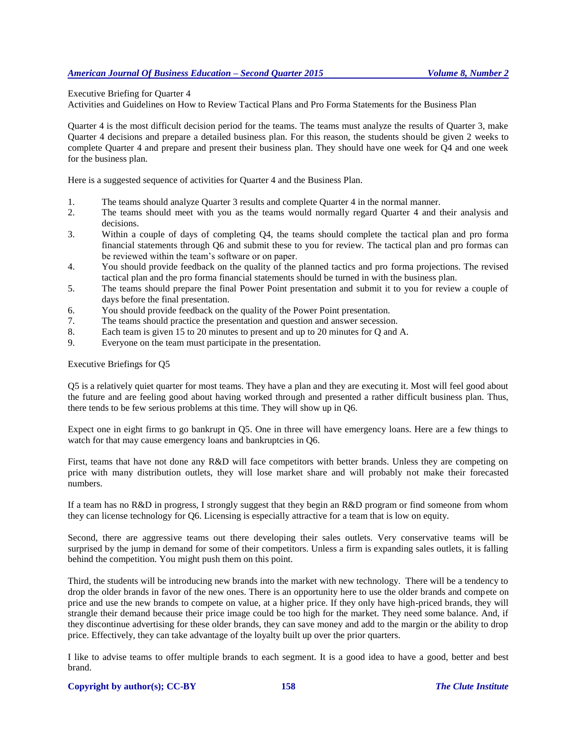Executive Briefing for Quarter 4

Activities and Guidelines on How to Review Tactical Plans and Pro Forma Statements for the Business Plan

Quarter 4 is the most difficult decision period for the teams. The teams must analyze the results of Quarter 3, make Quarter 4 decisions and prepare a detailed business plan. For this reason, the students should be given 2 weeks to complete Quarter 4 and prepare and present their business plan. They should have one week for Q4 and one week for the business plan.

Here is a suggested sequence of activities for Quarter 4 and the Business Plan.

- 1. The teams should analyze Quarter 3 results and complete Quarter 4 in the normal manner.
- 2. The teams should meet with you as the teams would normally regard Quarter 4 and their analysis and decisions.
- 3. Within a couple of days of completing Q4, the teams should complete the tactical plan and pro forma financial statements through Q6 and submit these to you for review. The tactical plan and pro formas can be reviewed within the team's software or on paper.
- 4. You should provide feedback on the quality of the planned tactics and pro forma projections. The revised tactical plan and the pro forma financial statements should be turned in with the business plan.
- 5. The teams should prepare the final Power Point presentation and submit it to you for review a couple of days before the final presentation.
- 6. You should provide feedback on the quality of the Power Point presentation.
- 7. The teams should practice the presentation and question and answer secession.
- 8. Each team is given 15 to 20 minutes to present and up to 20 minutes for Q and A.
- 9. Everyone on the team must participate in the presentation.

Executive Briefings for Q5

Q5 is a relatively quiet quarter for most teams. They have a plan and they are executing it. Most will feel good about the future and are feeling good about having worked through and presented a rather difficult business plan. Thus, there tends to be few serious problems at this time. They will show up in Q6.

Expect one in eight firms to go bankrupt in Q5. One in three will have emergency loans. Here are a few things to watch for that may cause emergency loans and bankruptcies in Q6.

First, teams that have not done any R&D will face competitors with better brands. Unless they are competing on price with many distribution outlets, they will lose market share and will probably not make their forecasted numbers.

If a team has no R&D in progress, I strongly suggest that they begin an R&D program or find someone from whom they can license technology for Q6. Licensing is especially attractive for a team that is low on equity.

Second, there are aggressive teams out there developing their sales outlets. Very conservative teams will be surprised by the jump in demand for some of their competitors. Unless a firm is expanding sales outlets, it is falling behind the competition. You might push them on this point.

Third, the students will be introducing new brands into the market with new technology. There will be a tendency to drop the older brands in favor of the new ones. There is an opportunity here to use the older brands and compete on price and use the new brands to compete on value, at a higher price. If they only have high-priced brands, they will strangle their demand because their price image could be too high for the market. They need some balance. And, if they discontinue advertising for these older brands, they can save money and add to the margin or the ability to drop price. Effectively, they can take advantage of the loyalty built up over the prior quarters.

I like to advise teams to offer multiple brands to each segment. It is a good idea to have a good, better and best brand.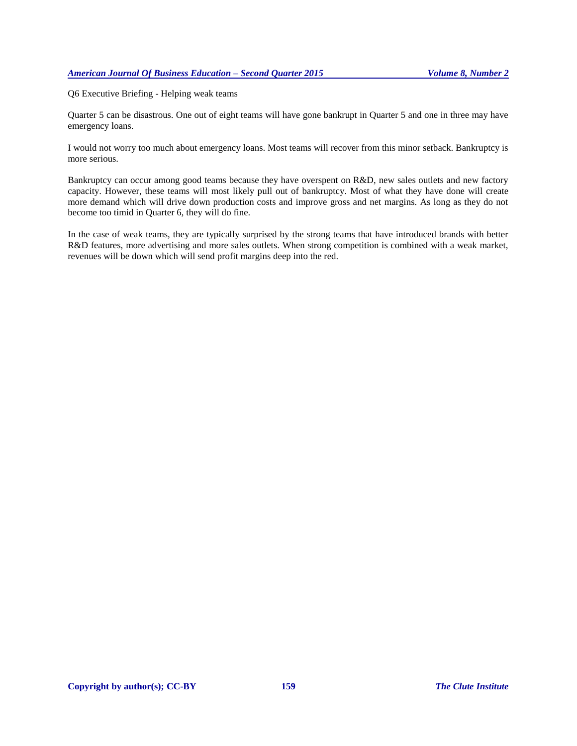Q6 Executive Briefing - Helping weak teams

Quarter 5 can be disastrous. One out of eight teams will have gone bankrupt in Quarter 5 and one in three may have emergency loans.

I would not worry too much about emergency loans. Most teams will recover from this minor setback. Bankruptcy is more serious.

Bankruptcy can occur among good teams because they have overspent on R&D, new sales outlets and new factory capacity. However, these teams will most likely pull out of bankruptcy. Most of what they have done will create more demand which will drive down production costs and improve gross and net margins. As long as they do not become too timid in Quarter 6, they will do fine.

In the case of weak teams, they are typically surprised by the strong teams that have introduced brands with better R&D features, more advertising and more sales outlets. When strong competition is combined with a weak market, revenues will be down which will send profit margins deep into the red.